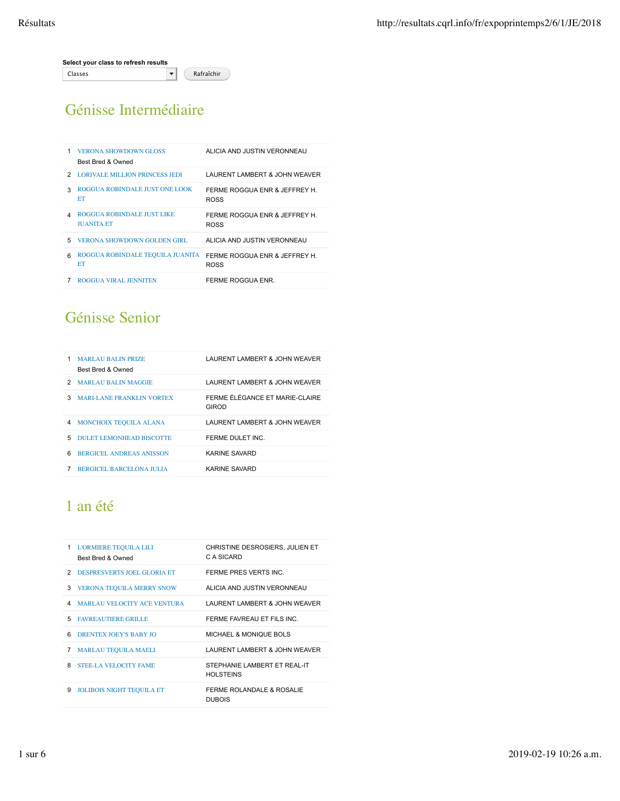Génisse Intermédiaire

| 1 | <b>VERONA SHOWDOWN GLOSS</b><br>Best Bred & Owned | ALICIA AND JUSTIN VERONNEAU                  |
|---|---------------------------------------------------|----------------------------------------------|
|   | 2 LORIVALE MILLION PRINCESS JEDI                  | LAURENT LAMBERT & JOHN WEAVER                |
| 3 | ROGGUA ROBINDALE JUST ONE LOOK<br>ET              | FERME ROGGUA ENR & JEFFREY H.<br><b>ROSS</b> |
| Δ | ROGGUA ROBINDALE JUST LIKE<br><b>JUANITA ET</b>   | FERME ROGGUA ENR & JEFFREY H.<br><b>ROSS</b> |
| 5 | <b>VERONA SHOWDOWN GOLDEN GIRL</b>                | ALICIA AND JUSTIN VERONNEAU                  |
| ĥ | ROGGUA ROBINDALE TEOUILA JUANITA<br>ET            | FERME ROGGUA ENR & JEFFREY H.<br><b>ROSS</b> |
|   | <b>ROGGUA VIRAL JENNITEN</b>                      | FERME ROGGUA ENR.                            |

# Génisse Senior

| 1 | <b>MARLAU BALIN PRIZE</b><br>Best Bred & Owned | LAURENT LAMBERT & JOHN WEAVER             |
|---|------------------------------------------------|-------------------------------------------|
| 2 | <b>MARLAU BALIN MAGGIE</b>                     | LAURENT LAMBERT & JOHN WEAVER             |
| 3 | <b>MARLLANE FRANKLIN VORTEX</b>                | FERME FI FGANCE ET MARIE-CI AIRE<br>GIROD |
| 4 | MONCHOIX TEOUILA ALANA                         | LAURENT LAMBERT & JOHN WEAVER             |
| 5 | DULET LEMONHEAD BISCOTTE                       | FERME DULET INC.                          |
| 6 | <b>BERGICEL ANDREAS ANISSON</b>                | KARINE SAVARD                             |
|   | <b>BERGICEL BARCELONA JULIA</b>                | KARINE SAVARD                             |

# 1 an été

|    | 1 L'ORMIERE TEQUILA LILI<br>Best Bred & Owned | CHRISTINE DESROSIERS, JULIEN ET<br>C A SICARD    |
|----|-----------------------------------------------|--------------------------------------------------|
|    | 2 DESPRESVERTS JOEL GLORIA ET                 | FERME PRES VERTS INC.                            |
| 3  | <b>VERONA TEQUILA MERRY SNOW</b>              | ALICIA AND JUSTIN VERONNEAU                      |
| 4  | <b>MARLAU VELOCITY ACE VENTURA</b>            | LAURENT LAMBERT & JOHN WEAVER                    |
| 5. | <b>FAVREAUTIERE GRILLE</b>                    | FERME FAVREAU ET FILS INC.                       |
| 6  | <b>DRENTEX JOEY'S BABY JO</b>                 | MICHAEL & MONIQUE BOLS                           |
| 7  | <b>MARLAU TEQUILA MAELI</b>                   | LAURENT LAMBERT & JOHN WEAVER                    |
| 8  | <b>STEE-LA VELOCITY FAME</b>                  | STEPHANIE LAMBERT ET REAL-IT<br><b>HOLSTEINS</b> |
| 9  | <b>JOLIBOIS NIGHT TEQUILA ET</b>              | FERME ROLANDALE & ROSALIE<br><b>DUBOIS</b>       |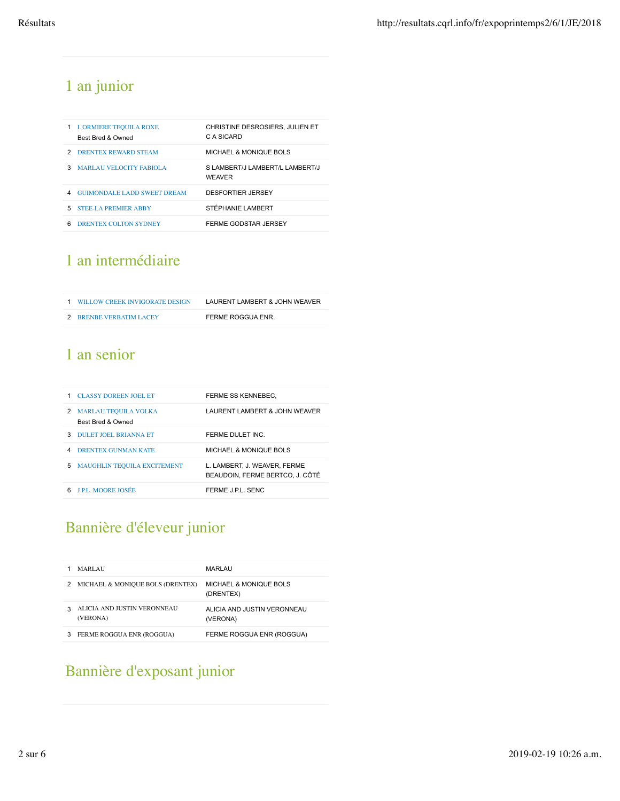# 1 an junior

|    | <b>L'ORMIERE TEQUILA ROXE</b><br><b>Best Bred &amp; Owned</b> | CHRISTINE DESROSIERS, JULIEN ET<br>C A SICARD    |
|----|---------------------------------------------------------------|--------------------------------------------------|
|    | 2 DRENTEX REWARD STEAM                                        | MICHAEL & MONIQUE BOLS                           |
| з  | MARLAU VELOCITY FABIOLA                                       | S LAMBERT/J LAMBERT/L LAMBERT/J<br><b>WEAVER</b> |
| 4  | <b>GUIMONDALE LADD SWEET DREAM</b>                            | <b>DESFORTIER JERSEY</b>                         |
| 5. | <b>STEE-LA PREMIER ARRY</b>                                   | STÉPHANIE LAMBERT                                |
| ี  | DRENTEX COLTON SYDNEY                                         | FERME GODSTAR JERSEY                             |

# 1 an intermédiaire

| 1 WILLOW CREEK INVIGORATE DESIGN | LAURENT LAMBERT & JOHN WEAVER |
|----------------------------------|-------------------------------|
| 2 BRENBE VERBATIM LACEY          | FERME ROGGUA ENR.             |

# 1 an senior

|   | <b>CLASSY DOREEN JOEL ET</b>                     | FERME SS KENNEBEC.                                              |
|---|--------------------------------------------------|-----------------------------------------------------------------|
| 2 | <b>MARLAU TEQUILA VOLKA</b><br>Best Bred & Owned | LAURENT LAMBERT & JOHN WEAVER                                   |
| 3 | DULET JOEL BRIANNA ET                            | FERME DULET INC.                                                |
|   | <b>DRENTEX GUNMAN KATE</b>                       | MICHAEL & MONIQUE BOLS                                          |
| 5 | <b>MAUGHLIN TEOUILA EXCITEMENT</b>               | L. LAMBERT. J. WEAVER. FERME<br>BEAUDOIN. FERME BERTCO. J. CÔTÉ |
| ี | <b>LPL MOORE JOSÉE</b>                           | FFRME JPL SENC                                                  |

# Bannière d'éleveur junior

|   | <b>MARLAU</b>                           | MARLAU                                         |
|---|-----------------------------------------|------------------------------------------------|
| 2 | MICHAEL & MONIQUE BOLS (DRENTEX)        | <b>MICHAEL &amp; MONIQUE BOLS</b><br>(DRENTEX) |
|   | ALICIA AND JUSTIN VERONNEAU<br>(VERONA) | ALICIA AND JUSTIN VERONNEAU<br>(VERONA)        |
|   | FERME ROGGUA ENR (ROGGUA)               | FERME ROGGUA ENR (ROGGUA)                      |

# Bannière d'exposant junior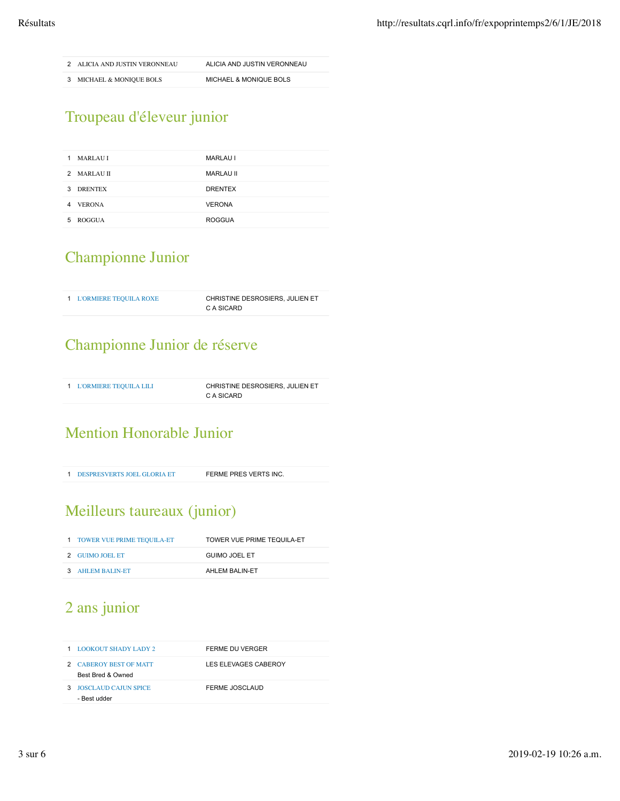2 ALICIA AND JUSTIN VERONNEAU ALICIA AND JUSTIN VERONNEAU

3 MICHAEL & MONIQUE BOLS MICHAEL & MONIQUE BOLS

# Troupeau d'éleveur junior

| <b>MARLAU I</b><br>1 | <b>MARLAU I</b>  |
|----------------------|------------------|
| 2 MARLAUH            | <b>MARLAU II</b> |
| <b>DRENTEX</b><br>3  | <b>DRENTEX</b>   |
| <b>VERONA</b><br>4   | <b>VERONA</b>    |
| ROGGUA<br>5.         | <b>ROGGUA</b>    |

### Championne Junior

1 L'ORMIERE TEQUILA ROXE CHRISTINE DESROSIERS, JULIEN ET C A SICARD

### Championne Junior de réserve

| 1 L'ORMIERE TEQUILA LILI | CHRISTINE DESROSIERS, JULIEN ET |
|--------------------------|---------------------------------|
|                          | C A SICARD                      |

# Mention Honorable Junior

1 DESPRESVERTS JOEL GLORIA ET FERME PRES VERTS INC.

# Meilleurs taureaux (junior)

| 1 TOWER VUE PRIME TEOUILA-ET | TOWER VUE PRIME TEQUILA-ET |
|------------------------------|----------------------------|
| 2 GUIMO JOEL ET              | GUIMO JOEL ET              |
| 3 AHLEM BALIN-ET             | AHLEM BALIN-ET             |

# 2 ans junior 2 ans junior

| LOOKOUT SHADY LADY 2<br>1.                  | FERME DU VERGER      |
|---------------------------------------------|----------------------|
| 2 CABEROY BEST OF MATT<br>Best Bred & Owned | LES ELEVAGES CABEROY |
| <b>JOSCLAUD CAJUN SPICE</b><br>- Best udder | FERME JOSCLAUD       |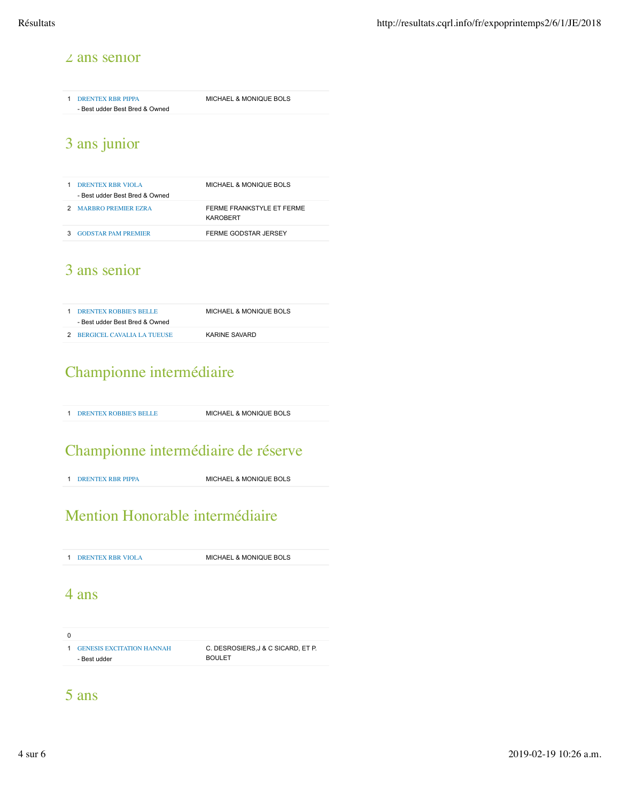#### 2 ans senior 2 ans senior

1 DRENTEX RBR PIPPA - Best udder Best Bred & Owned MICHAEL & MONIQUE BOLS

# 3 ans junior 3 ans junior

| <b>DRENTEX RBR VIOLA</b><br>- Best udder Best Bred & Owned | <b>MICHAEL &amp; MONIQUE BOLS</b>     |
|------------------------------------------------------------|---------------------------------------|
| 2 MARBRO PREMIER EZRA                                      | FERME FRANKSTYLE ET FERME<br>KAROBERT |
| <b>GODSTAR PAM PREMIER</b>                                 | FERME GODSTAR JERSEY                  |

### 3 ans senior 3 ans senior

| 1 DRENTEX ROBBIE'S BELLE       | MICHAEL & MONIQUE BOLS |
|--------------------------------|------------------------|
| - Best udder Best Bred & Owned |                        |
| 2 BERGICEL CAVALIA LA TUEUSE   | KARINE SAVARD          |

### Championne intermédiaire

1 DRENTEX ROBBIE'S BELLE MICHAEL & MONIQUE BOLS

### Championne intermédiaire de réserve

1 DRENTEX RBR PIPPA MICHAEL & MONIQUE BOLS

# Mention Honorable intermédiaire

1 DRENTEX RBR VIOLA MICHAEL & MONIQUE BOLS

#### 4 ans

0 1 GENESIS EXCITATION HANNAH - Best udder C. DESROSIERS,J & C SICARD, ET P. BOULET

#### 5 ans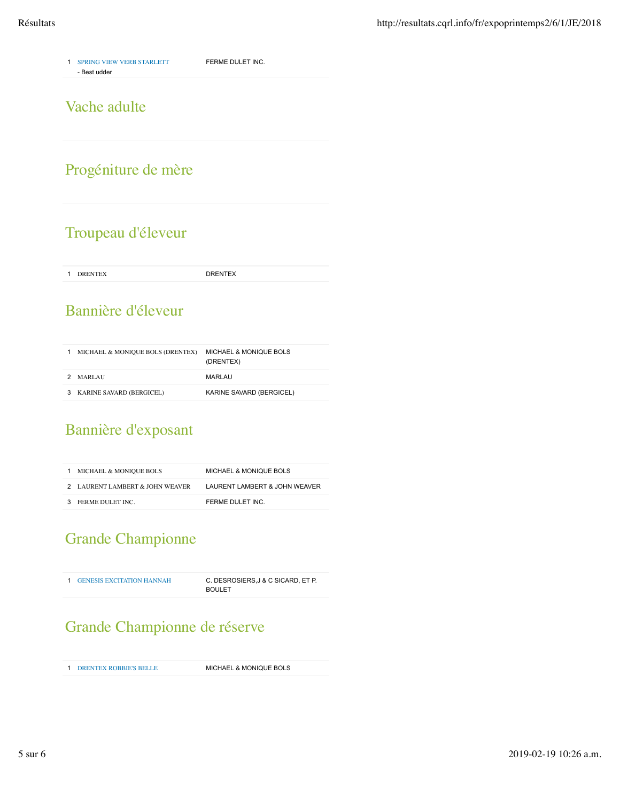1 SPRING VIEW VERB STARLETT - Best udder FERME DULET INC.

#### Vache adulte

# Progéniture de mère

### Troupeau d'éleveur

1 DRENTEX DRENTEX

### Bannière d'éleveur

|   | MICHAEL & MONIQUE BOLS (DRENTEX) | <b>MICHAEL &amp; MONIQUE BOLS</b><br>(DRENTEX) |
|---|----------------------------------|------------------------------------------------|
| 2 | <b>MARLAU</b>                    | MARLAU                                         |
|   | KARINE SAVARD (BERGICEL)         | KARINE SAVARD (BERGICEL)                       |

# Bannière d'exposant

| 1 MICHAEL & MONIOUE BOLS        | <b>MICHAEL &amp; MONIQUE BOLS</b> |
|---------------------------------|-----------------------------------|
| 2 LAURENT LAMBERT & JOHN WEAVER | LAURENT LAMBERT & JOHN WEAVER     |
| 3 FERME DULET INC.              | FERME DULET INC.                  |

# Grande Championne

| <b>1 GENESIS EXCITATION HANNAH</b> | C. DESROSIERS, J & C SICARD, ET P. |
|------------------------------------|------------------------------------|
|                                    | <b>BOULET</b>                      |

### Grande Championne de réserve

1 DRENTEX ROBBIE'S BELLE MICHAEL & MONIQUE BOLS